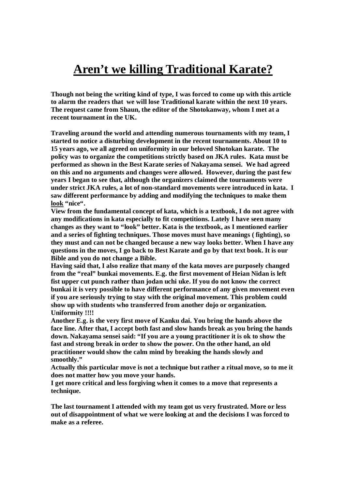## **Aren't we killing Traditional Karate?**

**Though not being the writing kind of type, I was forced to come up with this article to alarm the readers that we will lose Traditional karate within the next 10 years. The request came from Shaun, the editor of the Shotokanway, whom I met at a recent tournament in the UK.**

**Traveling around the world and attending numerous tournaments with my team, I started to notice a disturbing development in the recent tournaments. About 10 to 15 years ago, we all agreed on uniformity in our beloved Shotokan karate. The policy was to organize the competitions strictly based on JKA rules. Kata must be performed as shown in the Best Karate series of Nakayama sensei. We had agreed on this and no arguments and changes were allowed. However, during the past few years I began to see that, although the organizers claimed the tournaments were under strict JKA rules, a lot of non-standard movements were introduced in kata. I saw different performance by adding and modifying the techniques to make them look "nice".**

**View from the fundamental concept of kata, which is a textbook, I do not agree with any modifications in kata especially to fit competitions. Lately I have seen many changes as they want to "look" better. Kata is the textbook, as I mentioned earlier and a series of fighting techniques. Those moves must have meanings ( fighting), so they must and can not be changed because a new way looks better. When I have any questions in the moves, I go back to Best Karate and go by that text book. It is our Bible and you do not change a Bible.**

**Having said that, I also realize that many of the kata moves are purposely changed from the "real" bunkai movements. E.g. the first movement of Heian Nidan is left fist upper cut punch rather than jodan uchi uke. If you do not know the correct bunkai it is very possible to have different performance of any given movement even if you are seriously trying to stay with the original movement. This problem could show up with students who transferred from another dojo or organization. Uniformity !!!!**

**Another E.g. is the very first move of Kanku dai. You bring the hands above the face line. After that, I accept both fast and slow hands break as you bring the hands down. Nakayama sensei said: "If you are a young practitioner it is ok to show the fast and strong break in order to show the power. On the other hand, an old practitioner would show the calm mind by breaking the hands slowly and smoothly."**

**Actually this particular move is not a technique but rather a ritual move, so to me it does not matter how you move your hands.**

**I get more critical and less forgiving when it comes to a move that represents a technique.**

**The last tournament I attended with my team got us very frustrated. More or less out of disappointment of what we were looking at and the decisions I was forced to make as a referee.**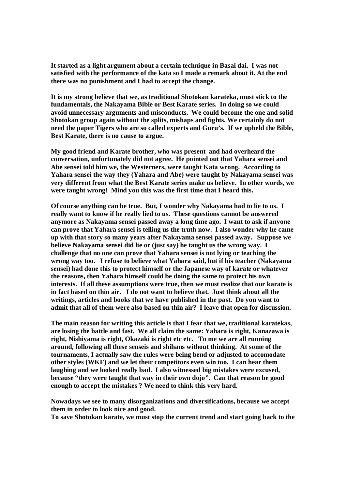**It started as a light argument about a certain technique in Basai dai. I was not satisfied with the performance of the kata so I made a remark about it. At the end there was no punishment and I had to accept the change.**

**It is my strong believe that we, as traditional Shotokan karateka, must stick to the fundamentals, the Nakayama Bible or Best Karate series. In doing so we could avoid unnecessary arguments and misconducts. We could become the one and solid Shotokan group again without the splits, mishaps and fights. We certainly do not need the paper Tigers who are so called experts and Guru's. If we upheld the Bible, Best Karate, there is no cause to argue.**

**My good friend and Karate brother, who was present and had overheard the conversation, unfortunately did not agree. He pointed out that Yahara sensei and Abe sensei told him we, the Westerners, were taught Kata wrong. According to Yahara sensei the way they (Yahara and Abe) were taught by Nakayama sensei was very different from what the Best Karate series make us believe. In other words, we were taught wrong! Mind you this was the first time that I heard this.**

**Of course anything can be true. But, I wonder why Nakayama had to lie to us. I really want to know if he really lied to us. These questions cannot be answered anymore as Nakayama sensei passed away a long time ago. I want to ask if anyone can prove that Yahara sensei is telling us the truth now. I also wonder why he came up with that story so many years after Nakayama sensei passed away. Suppose we believe Nakayama sensei did lie or (just say) he taught us the wrong way. I challenge that no one can prove that Yahara sensei is not lying or teaching the wrong way too. I refuse to believe what Yahara said, but if his teacher (Nakayama sensei) had done this to protect himself or the Japanese way of karate or whatever the reasons, then Yahara himself could be doing the same to protect his own interests. If all these assumptions were true, then we must realize that our karate is in fact based on thin air. I do not want to believe that. Just think about all the writings, articles and books that we have published in the past. Do you want to admit that all of them were also based on thin air? I leave that open for discussion.**

**The main reason for writing this article is that I fear that we, traditional karatekas, are losing the battle and fast. We all claim the same: Yahara is right, Kanazawa is right, Nishiyama is right, Okazaki is right etc etc. To me we are all running around, following all these senseis and shihans without thinking. At some of the tournaments, I actually saw the rules were being bend or adjusted to accomodate other styles (WKF) and we let their competitors even win too. I can hear them laughing and we looked really bad. I also witnessed big mistakes were excused, because "they were taught that way in their own dojo". Can that reason be good enough to accept the mistakes ? We need to think this very hard.**

**Nowadays we see to many disorganizations and diversifications, because we accept them in order to look nice and good.**

**To save Shotokan karate, we must stop the current trend and start going back to the**